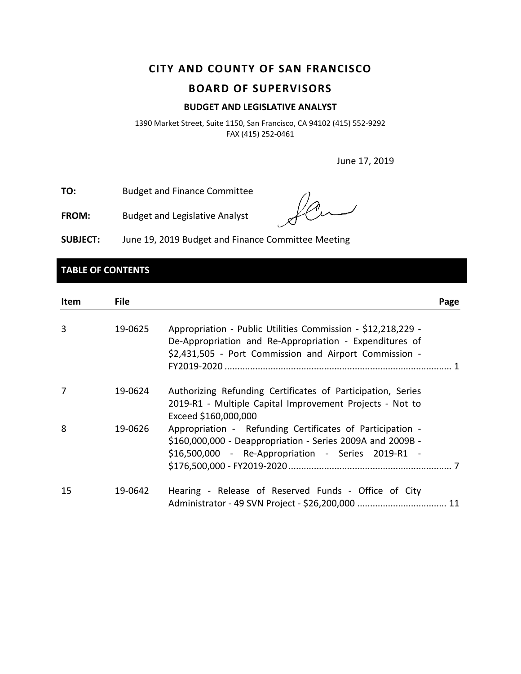# **CITY AND COUNTY OF SAN FRANCISCO BOARD OF SUPERVISORS**

### **BUDGET AND LEGISLATIVE ANALYST**

1390 Market Street, Suite 1150, San Francisco, CA 94102 (415) 552-9292 FAX (415) 252-0461

June 17, 2019

**TO:** Budget and Finance Committee

**FROM:** Budget and Legislative Analyst

**SUBJECT:** June 19, 2019 Budget and Finance Committee Meeting

# **TABLE OF CONTENTS**

| Item | <b>File</b> |                                                                                                                                                                                   | Page |
|------|-------------|-----------------------------------------------------------------------------------------------------------------------------------------------------------------------------------|------|
| 3    | 19-0625     | Appropriation - Public Utilities Commission - \$12,218,229 -<br>De-Appropriation and Re-Appropriation - Expenditures of<br>\$2,431,505 - Port Commission and Airport Commission - |      |
| 7    | 19-0624     | Authorizing Refunding Certificates of Participation, Series<br>2019-R1 - Multiple Capital Improvement Projects - Not to<br>Exceed \$160,000,000                                   |      |
| 8    | 19-0626     | Appropriation - Refunding Certificates of Participation -<br>\$160,000,000 - Deappropriation - Series 2009A and 2009B -<br>\$16,500,000 - Re-Appropriation - Series 2019-R1 -     |      |
| 15   | 19-0642     | Hearing - Release of Reserved Funds - Office of City                                                                                                                              |      |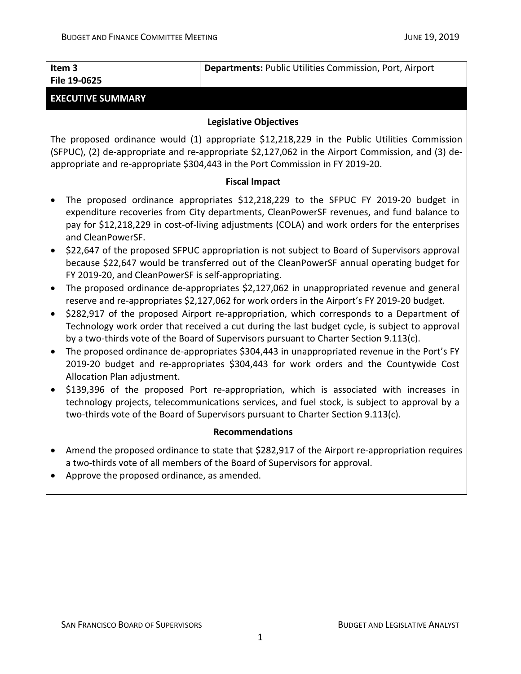| Item 3       | Departments: Public Utilities Commission, Port, Airport |
|--------------|---------------------------------------------------------|
| File 19-0625 |                                                         |
|              |                                                         |

# **EXECUTIVE SUMMARY**

# **Legislative Objectives**

The proposed ordinance would (1) appropriate \$12,218,229 in the Public Utilities Commission (SFPUC), (2) de-appropriate and re-appropriate \$2,127,062 in the Airport Commission, and (3) deappropriate and re-appropriate \$304,443 in the Port Commission in FY 2019-20.

### **Fiscal Impact**

- The proposed ordinance appropriates \$12,218,229 to the SFPUC FY 2019-20 budget in expenditure recoveries from City departments, CleanPowerSF revenues, and fund balance to pay for \$12,218,229 in cost-of-living adjustments (COLA) and work orders for the enterprises and CleanPowerSF.
- \$22,647 of the proposed SFPUC appropriation is not subject to Board of Supervisors approval because \$22,647 would be transferred out of the CleanPowerSF annual operating budget for FY 2019-20, and CleanPowerSF is self-appropriating.
- The proposed ordinance de-appropriates \$2,127,062 in unappropriated revenue and general reserve and re-appropriates \$2,127,062 for work orders in the Airport's FY 2019-20 budget.
- \$282,917 of the proposed Airport re-appropriation, which corresponds to a Department of Technology work order that received a cut during the last budget cycle, is subject to approval by a two-thirds vote of the Board of Supervisors pursuant to Charter Section 9.113(c).
- The proposed ordinance de-appropriates \$304,443 in unappropriated revenue in the Port's FY 2019-20 budget and re-appropriates \$304,443 for work orders and the Countywide Cost Allocation Plan adjustment.
- \$139,396 of the proposed Port re-appropriation, which is associated with increases in technology projects, telecommunications services, and fuel stock, is subject to approval by a two-thirds vote of the Board of Supervisors pursuant to Charter Section 9.113(c).

# **Recommendations**

- Amend the proposed ordinance to state that \$282,917 of the Airport re-appropriation requires a two-thirds vote of all members of the Board of Supervisors for approval.
- Approve the proposed ordinance, as amended.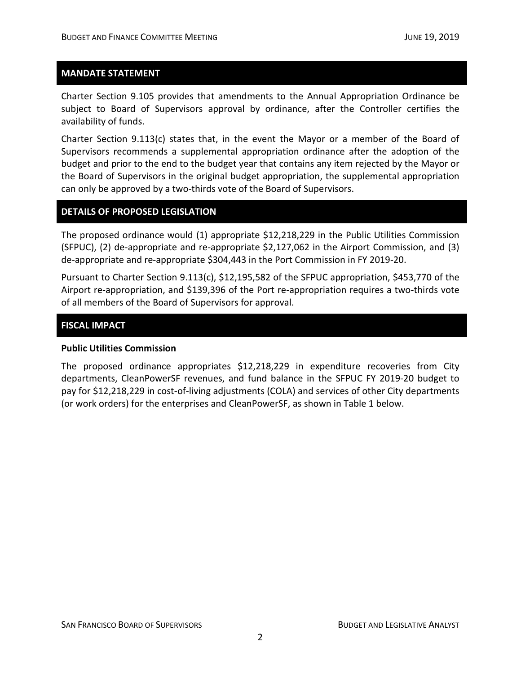## **MANDATE STATEMENT**

Charter Section 9.105 provides that amendments to the Annual Appropriation Ordinance be subject to Board of Supervisors approval by ordinance, after the Controller certifies the availability of funds.

Charter Section 9.113(c) states that, in the event the Mayor or a member of the Board of Supervisors recommends a supplemental appropriation ordinance after the adoption of the budget and prior to the end to the budget year that contains any item rejected by the Mayor or the Board of Supervisors in the original budget appropriation, the supplemental appropriation can only be approved by a two-thirds vote of the Board of Supervisors.

### **DETAILS OF PROPOSED LEGISLATION**

The proposed ordinance would (1) appropriate \$12,218,229 in the Public Utilities Commission (SFPUC), (2) de-appropriate and re-appropriate \$2,127,062 in the Airport Commission, and (3) de-appropriate and re-appropriate \$304,443 in the Port Commission in FY 2019-20.

Pursuant to Charter Section 9.113(c), \$12,195,582 of the SFPUC appropriation, \$453,770 of the Airport re-appropriation, and \$139,396 of the Port re-appropriation requires a two-thirds vote of all members of the Board of Supervisors for approval.

### **FISCAL IMPACT**

#### **Public Utilities Commission**

The proposed ordinance appropriates \$12,218,229 in expenditure recoveries from City departments, CleanPowerSF revenues, and fund balance in the SFPUC FY 2019-20 budget to pay for \$12,218,229 in cost-of-living adjustments (COLA) and services of other City departments (or work orders) for the enterprises and CleanPowerSF, as shown in Table 1 below.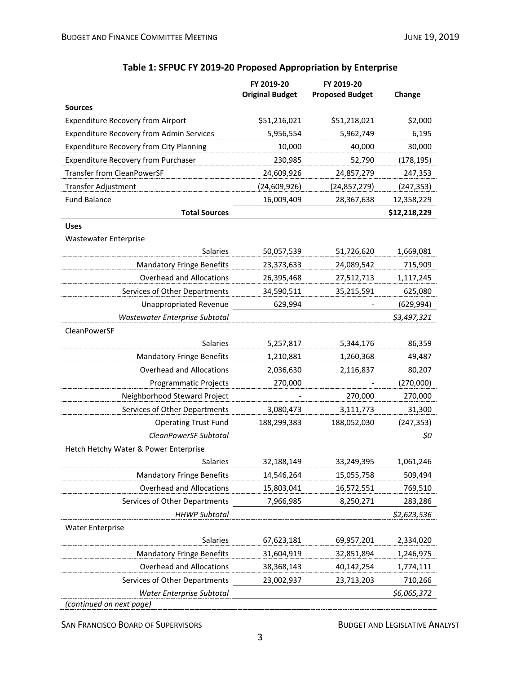|                                                 | FY 2019-20<br><b>Original Budget</b> | FY 2019-20<br><b>Proposed Budget</b> | Change       |
|-------------------------------------------------|--------------------------------------|--------------------------------------|--------------|
| <b>Sources</b>                                  |                                      |                                      |              |
| <b>Expenditure Recovery from Airport</b>        | \$51,216,021                         | \$51,218,021                         | \$2,000      |
| <b>Expenditure Recovery from Admin Services</b> | 5,956,554                            | 5,962,749                            | 6,195        |
| <b>Expenditure Recovery from City Planning</b>  | 10,000                               | 40,000                               | 30,000       |
| <b>Expenditure Recovery from Purchaser</b>      | 230,985                              | 52,790                               | (178, 195)   |
| <b>Transfer from CleanPowerSF</b>               | 24,609,926                           | 24,857,279                           | 247,353      |
| Transfer Adjustment                             | (24, 609, 926)                       | (24, 857, 279)                       | (247, 353)   |
| <b>Fund Balance</b>                             | 16,009,409                           | 28,367,638                           | 12,358,229   |
| <b>Total Sources</b>                            |                                      |                                      | \$12,218,229 |
| <b>Uses</b>                                     |                                      |                                      |              |
| <b>Wastewater Enterprise</b>                    |                                      |                                      |              |
| <b>Salaries</b>                                 | 50,057,539                           | 51,726,620                           | 1,669,081    |
| <b>Mandatory Fringe Benefits</b>                | 23,373,633                           | 24,089,542                           | 715,909      |
| <b>Overhead and Allocations</b>                 | 26,395,468                           | 27,512,713                           | 1,117,245    |
| Services of Other Departments                   | 34,590,511                           | 35,215,591                           | 625,080      |
| <b>Unappropriated Revenue</b>                   | 629,994                              |                                      | (629, 994)   |
| Wastewater Enterprise Subtotal                  |                                      |                                      | \$3,497,321  |
| CleanPowerSF                                    |                                      |                                      |              |
| <b>Salaries</b>                                 | 5,257,817                            | 5,344,176                            | 86,359       |
| <b>Mandatory Fringe Benefits</b>                | 1,210,881                            | 1,260,368                            | 49,487       |
| Overhead and Allocations                        | 2,036,630                            | 2,116,837                            | 80,207       |
| Programmatic Projects                           | 270,000                              |                                      | (270,000)    |
| Neighborhood Steward Project                    |                                      | 270,000                              | 270,000      |
| Services of Other Departments                   | 3,080,473                            | 3,111,773                            | 31,300       |
| <b>Operating Trust Fund</b>                     | 188,299,383                          | 188,052,030                          | (247, 353)   |
| CleanPowerSF Subtotal                           |                                      |                                      | \$0          |
| Hetch Hetchy Water & Power Enterprise           |                                      |                                      |              |
| Salaries                                        | 32,188,149                           | 33,249,395                           | 1,061,246    |
| <b>Mandatory Fringe Benefits</b>                | 14,546,264                           | 15,055,758                           | 509,494      |
| <b>Overhead and Allocations</b>                 | 15,803,041                           | 16,572,551                           | 769,510      |
| Services of Other Departments                   | 7,966,985                            | 8,250,271                            | 283,286      |
| <b>HHWP Subtotal</b>                            |                                      |                                      | \$2,623,536  |
| <b>Water Enterprise</b>                         |                                      |                                      |              |
| Salaries                                        | 67,623,181                           | 69,957,201                           | 2,334,020    |
| <b>Mandatory Fringe Benefits</b>                | 31,604,919                           | 32,851,894                           | 1,246,975    |
| <b>Overhead and Allocations</b>                 | 38,368,143                           | 40,142,254                           | 1,774,111    |
| Services of Other Departments                   | 23,002,937                           | 23,713,203                           | 710,266      |
| Water Enterprise Subtotal                       |                                      |                                      | \$6,065,372  |
| (continued on next page)                        |                                      |                                      |              |

# **Table 1: SFPUC FY 2019-20 Proposed Appropriation by Enterprise**

SAN FRANCISCO BOARD OF SUPERVISORS **BUDGET AND LEGISLATIVE ANALYST**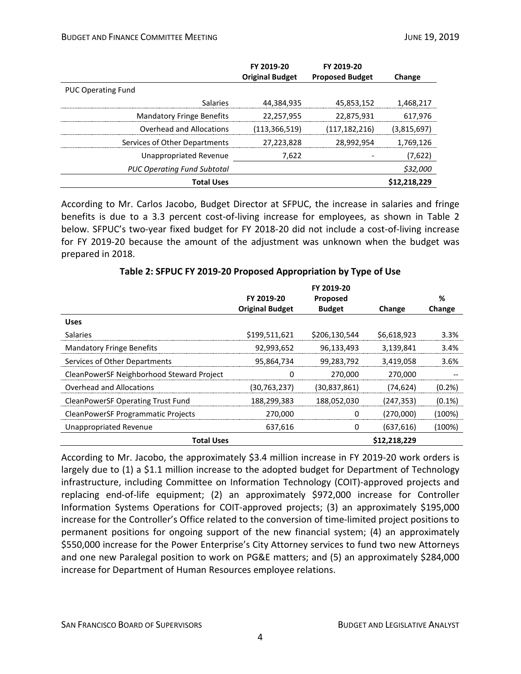|                                    | FY 2019-20             | FY 2019-20             |              |
|------------------------------------|------------------------|------------------------|--------------|
|                                    | <b>Original Budget</b> | <b>Proposed Budget</b> | Change       |
| <b>PUC Operating Fund</b>          |                        |                        |              |
| Salaries                           | 44,384,935             | 45,853,152             | 1,468,217    |
| <b>Mandatory Fringe Benefits</b>   | 22,257,955             | 22,875,931             | 617.976      |
| Overhead and Allocations           | (113,366,519)          | (117,182,216)          | (3,815,697)  |
| Services of Other Departments      | 27,223,828             | 28,992,954             | 1.769.126    |
| Unappropriated Revenue             | 7,622                  |                        | (7,622)      |
| <b>PUC Operating Fund Subtotal</b> |                        |                        | \$32,000     |
| <b>Total Uses</b>                  |                        |                        | \$12,218,229 |

According to Mr. Carlos Jacobo, Budget Director at SFPUC, the increase in salaries and fringe benefits is due to a 3.3 percent cost-of-living increase for employees, as shown in Table 2 below. SFPUC's two-year fixed budget for FY 2018-20 did not include a cost-of-living increase for FY 2019-20 because the amount of the adjustment was unknown when the budget was prepared in 2018.

|                                           |                        | FY 2019-20      |              |           |
|-------------------------------------------|------------------------|-----------------|--------------|-----------|
|                                           | FY 2019-20             | <b>Proposed</b> |              | %         |
|                                           | <b>Original Budget</b> | <b>Budget</b>   | Change       | Change    |
| <b>Uses</b>                               |                        |                 |              |           |
| <b>Salaries</b>                           | \$199,511,621          | \$206,130,544   | \$6,618,923  | $3.3\%$   |
| <b>Mandatory Fringe Benefits</b>          | 92,993,652             | 96,133,493      | 3,139,841    | 3.4%      |
| Services of Other Departments             | 95,864,734             | 99,283,792      | 3,419,058    | 3.6%      |
| CleanPowerSF Neighborhood Steward Project |                        | 270,000         | 270,000      |           |
| Overhead and Allocations                  | (30, 763, 237)         | (30, 837, 861)  | (74,624)     | (0.2%)    |
| <b>CleanPowerSF Operating Trust Fund</b>  | 188,299,383            | 188,052,030     | (247,353)    | $(0.1\%)$ |
| CleanPowerSF Programmatic Projects        | 270,000                |                 | (270,000)    | (100%)    |
| Unappropriated Revenue                    | 637,616                | 0               | (637, 616)   | (100%)    |
| <b>Total Uses</b>                         |                        |                 | \$12,218,229 |           |

According to Mr. Jacobo, the approximately \$3.4 million increase in FY 2019-20 work orders is largely due to (1) a \$1.1 million increase to the adopted budget for Department of Technology infrastructure, including Committee on Information Technology (COIT)-approved projects and replacing end-of-life equipment; (2) an approximately \$972,000 increase for Controller Information Systems Operations for COIT-approved projects; (3) an approximately \$195,000 increase for the Controller's Office related to the conversion of time-limited project positions to permanent positions for ongoing support of the new financial system; (4) an approximately \$550,000 increase for the Power Enterprise's City Attorney services to fund two new Attorneys and one new Paralegal position to work on PG&E matters; and (5) an approximately \$284,000 increase for Department of Human Resources employee relations.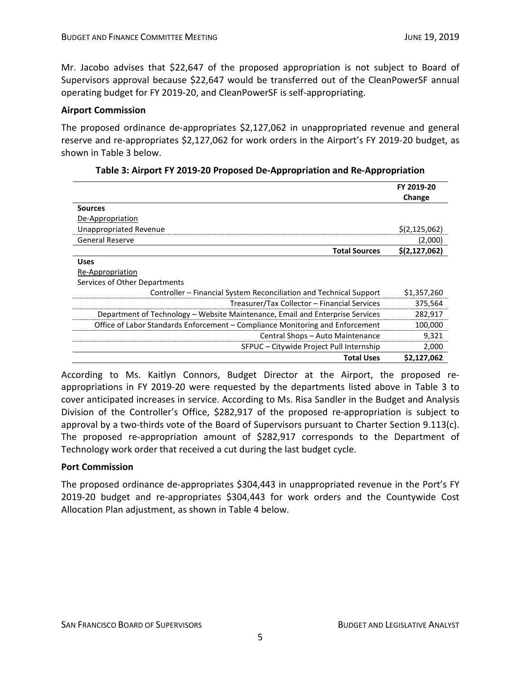Mr. Jacobo advises that \$22,647 of the proposed appropriation is not subject to Board of Supervisors approval because \$22,647 would be transferred out of the CleanPowerSF annual operating budget for FY 2019-20, and CleanPowerSF is self-appropriating.

# **Airport Commission**

The proposed ordinance de-appropriates \$2,127,062 in unappropriated revenue and general reserve and re-appropriates \$2,127,062 for work orders in the Airport's FY 2019-20 budget, as shown in Table 3 below.

|                                                                               | FY 2019-20      |
|-------------------------------------------------------------------------------|-----------------|
|                                                                               | Change          |
| <b>Sources</b>                                                                |                 |
| De-Appropriation                                                              |                 |
| <b>Unappropriated Revenue</b>                                                 | \$(2, 125, 062) |
| <b>General Reserve</b>                                                        | (2,000)         |
| <b>Total Sources</b>                                                          | \$(2,127,062)   |
| <b>Uses</b>                                                                   |                 |
| Re-Appropriation                                                              |                 |
| Services of Other Departments                                                 |                 |
| Controller – Financial System Reconciliation and Technical Support            | \$1,357,260     |
| Treasurer/Tax Collector – Financial Services                                  | 375,564         |
| Department of Technology – Website Maintenance, Email and Enterprise Services | 282,917         |
| Office of Labor Standards Enforcement - Compliance Monitoring and Enforcement | 100,000         |
| Central Shops - Auto Maintenance                                              | 9,321           |
| SFPUC - Citywide Project Pull Internship                                      | 2,000           |
| <b>Total Uses</b>                                                             | \$2,127,062     |

| Table 3: Airport FY 2019-20 Proposed De-Appropriation and Re-Appropriation |  |  |  |
|----------------------------------------------------------------------------|--|--|--|
|----------------------------------------------------------------------------|--|--|--|

According to Ms. Kaitlyn Connors, Budget Director at the Airport, the proposed reappropriations in FY 2019-20 were requested by the departments listed above in Table 3 to cover anticipated increases in service. According to Ms. Risa Sandler in the Budget and Analysis Division of the Controller's Office, \$282,917 of the proposed re-appropriation is subject to approval by a two-thirds vote of the Board of Supervisors pursuant to Charter Section 9.113(c). The proposed re-appropriation amount of \$282,917 corresponds to the Department of Technology work order that received a cut during the last budget cycle.

# **Port Commission**

The proposed ordinance de-appropriates \$304,443 in unappropriated revenue in the Port's FY 2019-20 budget and re-appropriates \$304,443 for work orders and the Countywide Cost Allocation Plan adjustment, as shown in Table 4 below.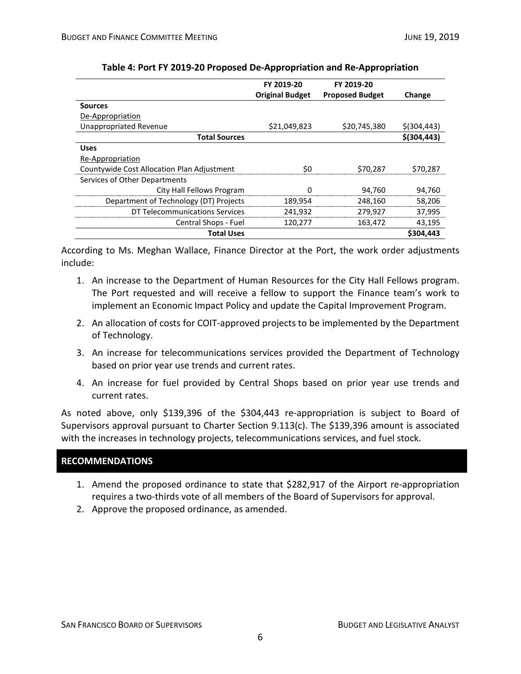|                                            | FY 2019-20             | FY 2019-20             |               |
|--------------------------------------------|------------------------|------------------------|---------------|
|                                            | <b>Original Budget</b> | <b>Proposed Budget</b> | Change        |
| <b>Sources</b>                             |                        |                        |               |
| De-Appropriation                           |                        |                        |               |
| Unappropriated Revenue                     | \$21,049,823           | \$20,745,380           | $$$ (304,443) |
| <b>Total Sources</b>                       |                        |                        | $$$ (304,443) |
| <b>Uses</b>                                |                        |                        |               |
| Re-Appropriation                           |                        |                        |               |
| Countywide Cost Allocation Plan Adjustment | \$0                    | \$70.287               | \$70.287      |
| Services of Other Departments              |                        |                        |               |
| City Hall Fellows Program                  |                        | 94,760                 | 94,760        |
| Department of Technology (DT) Projects     | 189,954                | 248,160                | 58,206        |
| DT Telecommunications Services             | 241,932                | 279,927                | 37,995        |
| Central Shops - Fuel                       | 120,277                | 163,472                | 43,195        |
| <b>Total Uses</b>                          |                        |                        | \$304,443     |

|  |  |  | Table 4: Port FY 2019-20 Proposed De-Appropriation and Re-Appropriation |
|--|--|--|-------------------------------------------------------------------------|
|--|--|--|-------------------------------------------------------------------------|

According to Ms. Meghan Wallace, Finance Director at the Port, the work order adjustments include:

- 1. An increase to the Department of Human Resources for the City Hall Fellows program. The Port requested and will receive a fellow to support the Finance team's work to implement an Economic Impact Policy and update the Capital Improvement Program.
- 2. An allocation of costs for COIT-approved projects to be implemented by the Department of Technology.
- 3. An increase for telecommunications services provided the Department of Technology based on prior year use trends and current rates.
- 4. An increase for fuel provided by Central Shops based on prior year use trends and current rates.

As noted above, only \$139,396 of the \$304,443 re-appropriation is subject to Board of Supervisors approval pursuant to Charter Section 9.113(c). The \$139,396 amount is associated with the increases in technology projects, telecommunications services, and fuel stock.

# **RECOMMENDATIONS**

- 1. Amend the proposed ordinance to state that \$282,917 of the Airport re-appropriation requires a two-thirds vote of all members of the Board of Supervisors for approval.
- 2. Approve the proposed ordinance, as amended.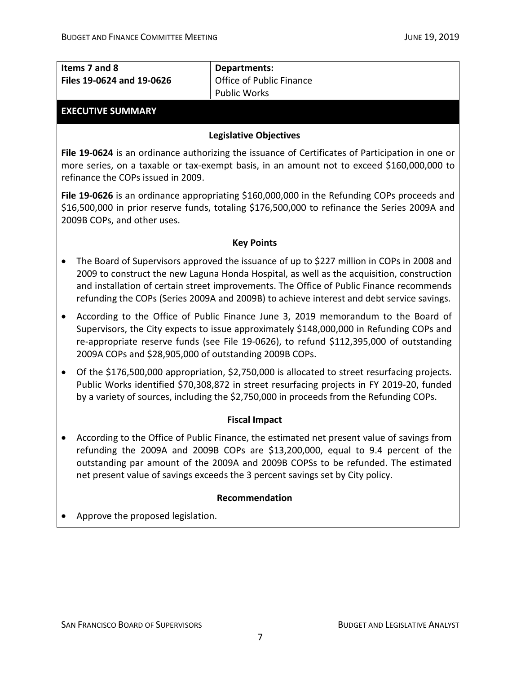| Items 7 and 8<br>Files 19-0624 and 19-0626                                                                                                                                                                                  | <b>Departments:</b><br>Office of Public Finance                                                                                                                                                                                                                                                                                                                                 |  |  |  |
|-----------------------------------------------------------------------------------------------------------------------------------------------------------------------------------------------------------------------------|---------------------------------------------------------------------------------------------------------------------------------------------------------------------------------------------------------------------------------------------------------------------------------------------------------------------------------------------------------------------------------|--|--|--|
|                                                                                                                                                                                                                             | <b>Public Works</b>                                                                                                                                                                                                                                                                                                                                                             |  |  |  |
| <b>EXECUTIVE SUMMARY</b>                                                                                                                                                                                                    |                                                                                                                                                                                                                                                                                                                                                                                 |  |  |  |
|                                                                                                                                                                                                                             | <b>Legislative Objectives</b>                                                                                                                                                                                                                                                                                                                                                   |  |  |  |
| refinance the COPs issued in 2009.                                                                                                                                                                                          | File 19-0624 is an ordinance authorizing the issuance of Certificates of Participation in one or<br>more series, on a taxable or tax-exempt basis, in an amount not to exceed \$160,000,000 to                                                                                                                                                                                  |  |  |  |
| File 19-0626 is an ordinance appropriating \$160,000,000 in the Refunding COPs proceeds and<br>\$16,500,000 in prior reserve funds, totaling \$176,500,000 to refinance the Series 2009A and<br>2009B COPs, and other uses. |                                                                                                                                                                                                                                                                                                                                                                                 |  |  |  |
|                                                                                                                                                                                                                             | <b>Key Points</b>                                                                                                                                                                                                                                                                                                                                                               |  |  |  |
|                                                                                                                                                                                                                             | The Board of Supervisors approved the issuance of up to \$227 million in COPs in 2008 and<br>2009 to construct the new Laguna Honda Hospital, as well as the acquisition, construction<br>and installation of certain street improvements. The Office of Public Finance recommends<br>refunding the COPs (Series 2009A and 2009B) to achieve interest and debt service savings. |  |  |  |
| 2009A COPs and \$28,905,000 of outstanding 2009B COPs.                                                                                                                                                                      | According to the Office of Public Finance June 3, 2019 memorandum to the Board of<br>Supervisors, the City expects to issue approximately \$148,000,000 in Refunding COPs and<br>re-appropriate reserve funds (see File 19-0626), to refund \$112,395,000 of outstanding                                                                                                        |  |  |  |
| $\bullet$                                                                                                                                                                                                                   | Of the \$176,500,000 appropriation, \$2,750,000 is allocated to street resurfacing projects.<br>Public Works identified \$70,308,872 in street resurfacing projects in FY 2019-20, funded<br>by a variety of sources, including the \$2,750,000 in proceeds from the Refunding COPs.                                                                                            |  |  |  |
| <b>Fiscal Impact</b>                                                                                                                                                                                                        |                                                                                                                                                                                                                                                                                                                                                                                 |  |  |  |
|                                                                                                                                                                                                                             | According to the Office of Public Finance, the estimated net present value of savings from<br>refunding the 2009A and 2009B COPs are \$13,200,000, equal to 9.4 percent of the<br>outstanding par amount of the 2009A and 2009B COPSs to be refunded. The estimated<br>net present value of savings exceeds the 3 percent savings set by City policy.                           |  |  |  |
| Recommendation                                                                                                                                                                                                              |                                                                                                                                                                                                                                                                                                                                                                                 |  |  |  |
| Approve the proposed legislation.                                                                                                                                                                                           |                                                                                                                                                                                                                                                                                                                                                                                 |  |  |  |
|                                                                                                                                                                                                                             |                                                                                                                                                                                                                                                                                                                                                                                 |  |  |  |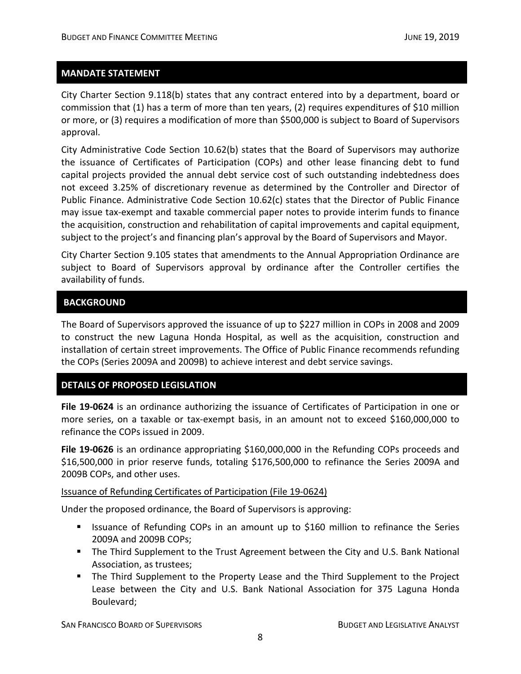# **MANDATE STATEMENT**

City Charter Section 9.118(b) states that any contract entered into by a department, board or commission that (1) has a term of more than ten years, (2) requires expenditures of \$10 million or more, or (3) requires a modification of more than \$500,000 is subject to Board of Supervisors approval.

City Administrative Code Section 10.62(b) states that the Board of Supervisors may authorize the issuance of Certificates of Participation (COPs) and other lease financing debt to fund capital projects provided the annual debt service cost of such outstanding indebtedness does not exceed 3.25% of discretionary revenue as determined by the Controller and Director of Public Finance. Administrative Code Section 10.62(c) states that the Director of Public Finance may issue tax-exempt and taxable commercial paper notes to provide interim funds to finance the acquisition, construction and rehabilitation of capital improvements and capital equipment, subject to the project's and financing plan's approval by the Board of Supervisors and Mayor.

City Charter Section 9.105 states that amendments to the Annual Appropriation Ordinance are subject to Board of Supervisors approval by ordinance after the Controller certifies the availability of funds.

# **BACKGROUND**

The Board of Supervisors approved the issuance of up to \$227 million in COPs in 2008 and 2009 to construct the new Laguna Honda Hospital, as well as the acquisition, construction and installation of certain street improvements. The Office of Public Finance recommends refunding the COPs (Series 2009A and 2009B) to achieve interest and debt service savings.

# **DETAILS OF PROPOSED LEGISLATION**

**File 19-0624** is an ordinance authorizing the issuance of Certificates of Participation in one or more series, on a taxable or tax-exempt basis, in an amount not to exceed \$160,000,000 to refinance the COPs issued in 2009.

**File 19-0626** is an ordinance appropriating \$160,000,000 in the Refunding COPs proceeds and \$16,500,000 in prior reserve funds, totaling \$176,500,000 to refinance the Series 2009A and 2009B COPs, and other uses.

# Issuance of Refunding Certificates of Participation (File 19-0624)

Under the proposed ordinance, the Board of Supervisors is approving:

- **If Itsuance of Refunding COPs in an amount up to \$160 million to refinance the Series** 2009A and 2009B COPs;
- **The Third Supplement to the Trust Agreement between the City and U.S. Bank National** Association, as trustees;
- The Third Supplement to the Property Lease and the Third Supplement to the Project Lease between the City and U.S. Bank National Association for 375 Laguna Honda Boulevard;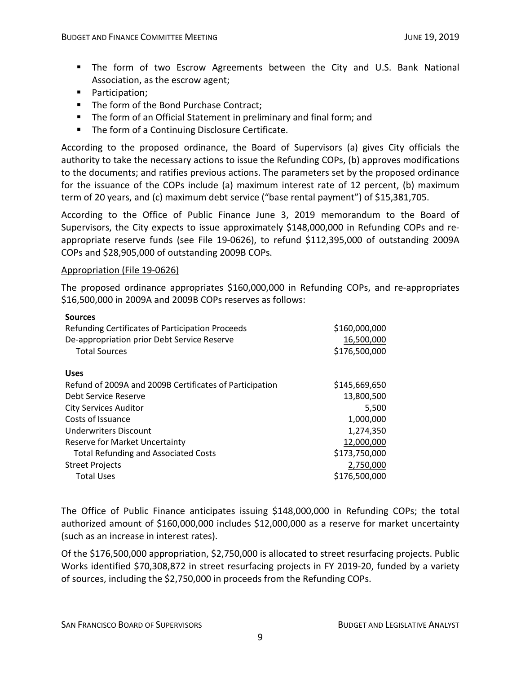- The form of two Escrow Agreements between the City and U.S. Bank National Association, as the escrow agent;
- Participation;
- The form of the Bond Purchase Contract:
- The form of an Official Statement in preliminary and final form; and
- The form of a Continuing Disclosure Certificate.

According to the proposed ordinance, the Board of Supervisors (a) gives City officials the authority to take the necessary actions to issue the Refunding COPs, (b) approves modifications to the documents; and ratifies previous actions. The parameters set by the proposed ordinance for the issuance of the COPs include (a) maximum interest rate of 12 percent, (b) maximum term of 20 years, and (c) maximum debt service ("base rental payment") of \$15,381,705.

According to the Office of Public Finance June 3, 2019 memorandum to the Board of Supervisors, the City expects to issue approximately \$148,000,000 in Refunding COPs and reappropriate reserve funds (see File 19-0626), to refund \$112,395,000 of outstanding 2009A COPs and \$28,905,000 of outstanding 2009B COPs.

# Appropriation (File 19-0626)

The proposed ordinance appropriates \$160,000,000 in Refunding COPs, and re-appropriates \$16,500,000 in 2009A and 2009B COPs reserves as follows:

| <b>Sources</b>                                          |               |
|---------------------------------------------------------|---------------|
| Refunding Certificates of Participation Proceeds        | \$160,000,000 |
| De-appropriation prior Debt Service Reserve             | 16,500,000    |
| <b>Total Sources</b>                                    | \$176,500,000 |
|                                                         |               |
| <b>Uses</b>                                             |               |
| Refund of 2009A and 2009B Certificates of Participation | \$145,669,650 |
| Debt Service Reserve                                    | 13,800,500    |
| <b>City Services Auditor</b>                            | 5,500         |
| Costs of Issuance                                       | 1,000,000     |
| Underwriters Discount                                   | 1,274,350     |
| Reserve for Market Uncertainty                          | 12,000,000    |
| <b>Total Refunding and Associated Costs</b>             | \$173,750,000 |
| <b>Street Projects</b>                                  | 2,750,000     |
| <b>Total Uses</b>                                       | \$176,500,000 |
|                                                         |               |

The Office of Public Finance anticipates issuing \$148,000,000 in Refunding COPs; the total authorized amount of \$160,000,000 includes \$12,000,000 as a reserve for market uncertainty (such as an increase in interest rates).

Of the \$176,500,000 appropriation, \$2,750,000 is allocated to street resurfacing projects. Public Works identified \$70,308,872 in street resurfacing projects in FY 2019-20, funded by a variety of sources, including the \$2,750,000 in proceeds from the Refunding COPs.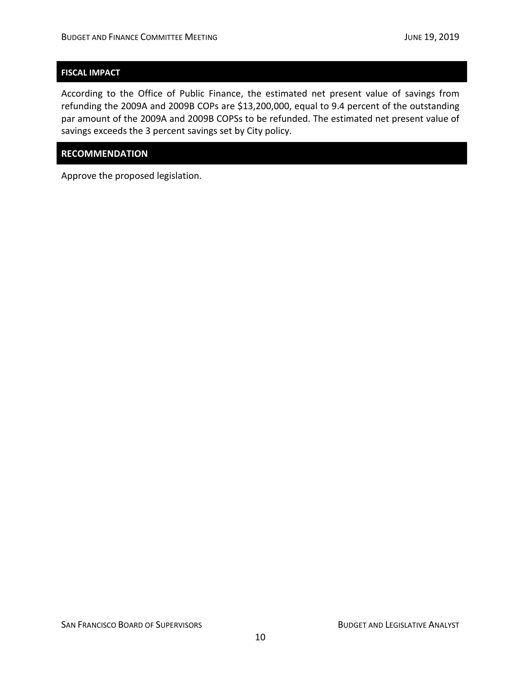# **FISCAL IMPACT**

According to the Office of Public Finance, the estimated net present value of savings from refunding the 2009A and 2009B COPs are \$13,200,000, equal to 9.4 percent of the outstanding par amount of the 2009A and 2009B COPSs to be refunded. The estimated net present value of savings exceeds the 3 percent savings set by City policy.

# **RECOMMENDATION**

Approve the proposed legislation.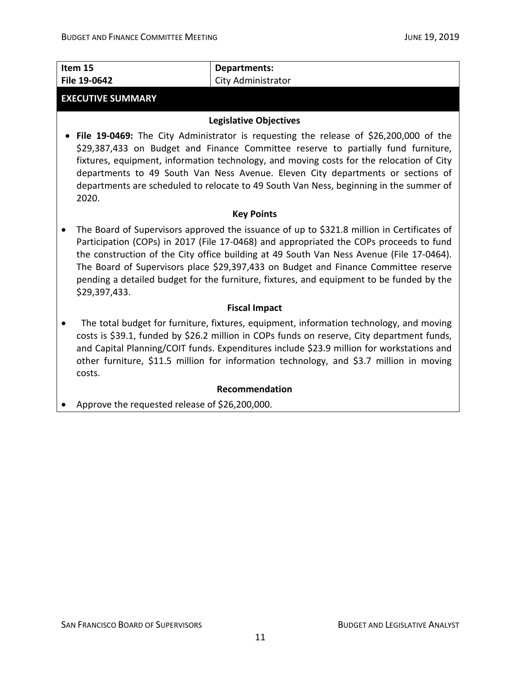| Item 15<br>File 19-0642                                                                                                                                                                                                                                                                                                                                                                                                                                                              | <b>Departments:</b><br>City Administrator                                                                                                                                                                                                                                                                                                                                     |
|--------------------------------------------------------------------------------------------------------------------------------------------------------------------------------------------------------------------------------------------------------------------------------------------------------------------------------------------------------------------------------------------------------------------------------------------------------------------------------------|-------------------------------------------------------------------------------------------------------------------------------------------------------------------------------------------------------------------------------------------------------------------------------------------------------------------------------------------------------------------------------|
| <b>EXECUTIVE SUMMARY</b>                                                                                                                                                                                                                                                                                                                                                                                                                                                             |                                                                                                                                                                                                                                                                                                                                                                               |
|                                                                                                                                                                                                                                                                                                                                                                                                                                                                                      |                                                                                                                                                                                                                                                                                                                                                                               |
| <b>Legislative Objectives</b>                                                                                                                                                                                                                                                                                                                                                                                                                                                        |                                                                                                                                                                                                                                                                                                                                                                               |
| File 19-0469: The City Administrator is requesting the release of \$26,200,000 of the<br>\$29,387,433 on Budget and Finance Committee reserve to partially fund furniture,<br>fixtures, equipment, information technology, and moving costs for the relocation of City<br>departments to 49 South Van Ness Avenue. Eleven City departments or sections of<br>departments are scheduled to relocate to 49 South Van Ness, beginning in the summer of<br>2020.                         |                                                                                                                                                                                                                                                                                                                                                                               |
| <b>Key Points</b>                                                                                                                                                                                                                                                                                                                                                                                                                                                                    |                                                                                                                                                                                                                                                                                                                                                                               |
| The Board of Supervisors approved the issuance of up to \$321.8 million in Certificates of<br>Participation (COPs) in 2017 (File 17-0468) and appropriated the COPs proceeds to fund<br>the construction of the City office building at 49 South Van Ness Avenue (File 17-0464).<br>The Board of Supervisors place \$29,397,433 on Budget and Finance Committee reserve<br>pending a detailed budget for the furniture, fixtures, and equipment to be funded by the<br>\$29,397,433. |                                                                                                                                                                                                                                                                                                                                                                               |
| <b>Fiscal Impact</b>                                                                                                                                                                                                                                                                                                                                                                                                                                                                 |                                                                                                                                                                                                                                                                                                                                                                               |
| costs.                                                                                                                                                                                                                                                                                                                                                                                                                                                                               | The total budget for furniture, fixtures, equipment, information technology, and moving<br>costs is \$39.1, funded by \$26.2 million in COPs funds on reserve, City department funds,<br>and Capital Planning/COIT funds. Expenditures include \$23.9 million for workstations and<br>other furniture, \$11.5 million for information technology, and \$3.7 million in moving |
| Recommendation                                                                                                                                                                                                                                                                                                                                                                                                                                                                       |                                                                                                                                                                                                                                                                                                                                                                               |
| Approve the requested release of \$26,200,000.                                                                                                                                                                                                                                                                                                                                                                                                                                       |                                                                                                                                                                                                                                                                                                                                                                               |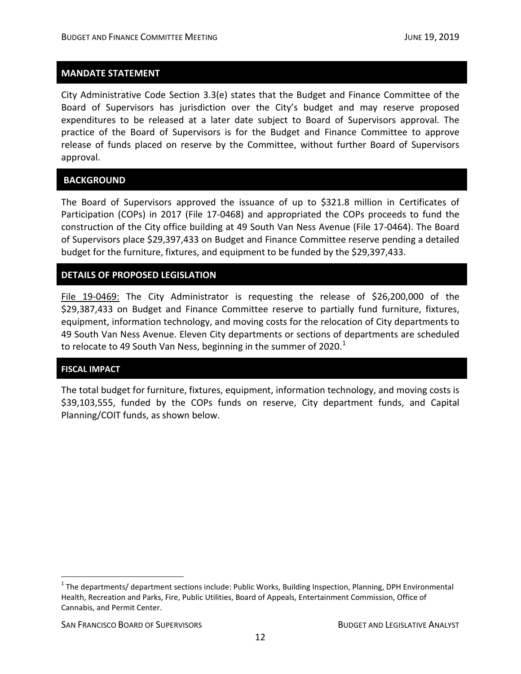# **MANDATE STATEMENT**

City Administrative Code Section 3.3(e) states that the Budget and Finance Committee of the Board of Supervisors has jurisdiction over the City's budget and may reserve proposed expenditures to be released at a later date subject to Board of Supervisors approval. The practice of the Board of Supervisors is for the Budget and Finance Committee to approve release of funds placed on reserve by the Committee, without further Board of Supervisors approval.

# **BACKGROUND**

The Board of Supervisors approved the issuance of up to \$321.8 million in Certificates of Participation (COPs) in 2017 (File 17-0468) and appropriated the COPs proceeds to fund the construction of the City office building at 49 South Van Ness Avenue (File 17-0464). The Board of Supervisors place \$29,397,433 on Budget and Finance Committee reserve pending a detailed budget for the furniture, fixtures, and equipment to be funded by the \$29,397,433.

# **DETAILS OF PROPOSED LEGISLATION**

File 19-0469: The City Administrator is requesting the release of \$26,200,000 of the \$29,387,433 on Budget and Finance Committee reserve to partially fund furniture, fixtures, equipment, information technology, and moving costs for the relocation of City departments to 49 South Van Ness Avenue. Eleven City departments or sections of departments are scheduled to relocate to 49 South Van Ness, beginning in the summer of 2020. $1$ 

#### **FISCAL IMPACT**

The total budget for furniture, fixtures, equipment, information technology, and moving costs is \$39,103,555, funded by the COPs funds on reserve, City department funds, and Capital Planning/COIT funds, as shown below.

<span id="page-12-0"></span> $1$  The departments/ department sections include: Public Works, Building Inspection, Planning, DPH Environmental Health, Recreation and Parks, Fire, Public Utilities, Board of Appeals, Entertainment Commission, Office of Cannabis, and Permit Center.